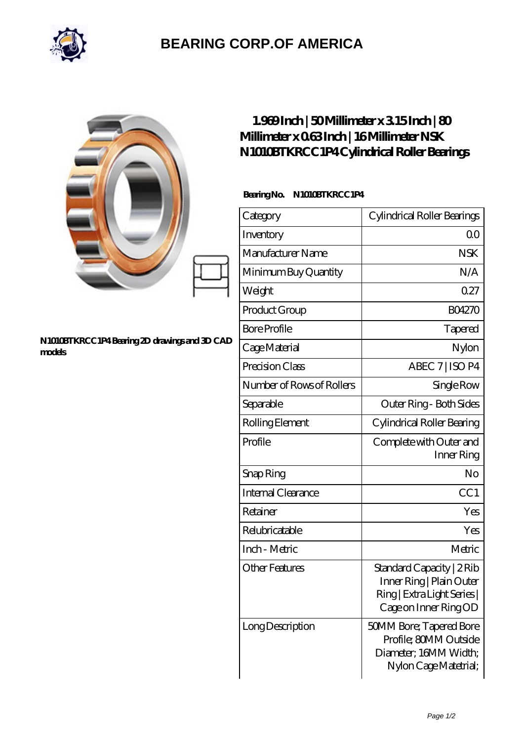

## **[BEARING CORP.OF AMERICA](https://bluemondayreview.com)**

|                                                        | $1.969$ Inch   50Millimeter x 315 Inch   80<br>Millimeter x 063Inch   16Millimeter NSK<br>N1010BTKRCC1P4Cylindrical Roller Bearings |                                                                                                               |
|--------------------------------------------------------|-------------------------------------------------------------------------------------------------------------------------------------|---------------------------------------------------------------------------------------------------------------|
| N1010BTKRCC1P4Bearing 2D drawings and 3D CAD<br>models | BearingNo.<br>N1010BTKRCC1P4                                                                                                        |                                                                                                               |
|                                                        | Category                                                                                                                            | Cylindrical Roller Bearings                                                                                   |
|                                                        | Inventory                                                                                                                           | 0 <sup>0</sup>                                                                                                |
|                                                        | Manufacturer Name                                                                                                                   | <b>NSK</b>                                                                                                    |
|                                                        | Minimum Buy Quantity                                                                                                                | N/A                                                                                                           |
|                                                        | Weight                                                                                                                              | 0.27                                                                                                          |
|                                                        | Product Group                                                                                                                       | BO4270                                                                                                        |
|                                                        | <b>Bore Profile</b>                                                                                                                 | Tapered                                                                                                       |
|                                                        | Cage Material                                                                                                                       | Nylon                                                                                                         |
|                                                        | Precision Class                                                                                                                     | ABEC 7   ISO P4                                                                                               |
|                                                        | Number of Rows of Rollers                                                                                                           | Single Row                                                                                                    |
|                                                        | Separable                                                                                                                           | Outer Ring - Both Sides                                                                                       |
|                                                        | Rolling Element                                                                                                                     | Cylindrical Roller Bearing                                                                                    |
|                                                        | Profile                                                                                                                             | Complete with Outer and<br>Inner Ring                                                                         |
|                                                        | Snap Ring                                                                                                                           | No                                                                                                            |
|                                                        | Internal Clearance                                                                                                                  | CC1                                                                                                           |
|                                                        | Retainer                                                                                                                            | Yes                                                                                                           |
|                                                        | Relubricatable                                                                                                                      | Yes                                                                                                           |
|                                                        | Inch - Metric                                                                                                                       | Metric                                                                                                        |
|                                                        | <b>Other Features</b>                                                                                                               | Standard Capacity   2 Rib<br>Inner Ring   Plain Outer<br>Ring   Extra Light Series  <br>Cage on Inner Ring OD |
|                                                        | Long Description                                                                                                                    | <b>50MM Bore; Tapered Bore</b><br>Profile; 80MM Outside<br>Diameter; 16MM Width;<br>Nylon Cage Matetrial;     |